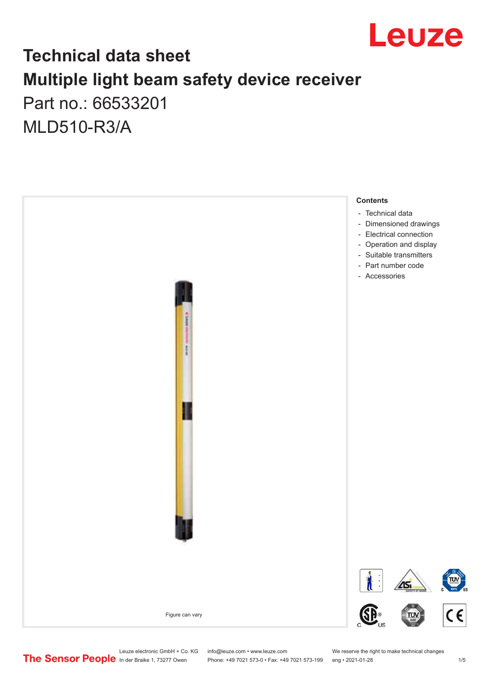

# **Technical data sheet Multiple light beam safety device receiver**

Part no.: 66533201 MLD510-R3/A



Leuze electronic GmbH + Co. KG info@leuze.com • www.leuze.com We reserve the right to make technical changes<br>
The Sensor People in der Braike 1, 73277 Owen Phone: +49 7021 573-0 • Fax: +49 7021 573-199 eng • 2021-01-28

Phone: +49 7021 573-0 • Fax: +49 7021 573-199 eng • 2021-01-28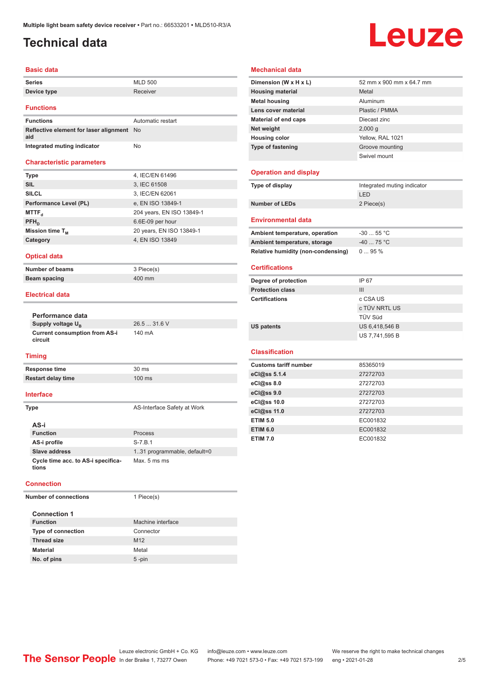## <span id="page-1-0"></span>**Technical data**

# Leuze

#### **Basic data**

| Series      | <b>MLD 500</b> |
|-------------|----------------|
| Device type | Receiver       |
|             |                |

#### **Functions**

| <b>Functions</b>                                 | Automatic restart |
|--------------------------------------------------|-------------------|
| Reflective element for laser alignment No<br>aid |                   |
| Integrated muting indicator                      | No                |

#### **Characteristic parameters**

| <b>Type</b>            | 4, IEC/EN 61496           |
|------------------------|---------------------------|
| <b>SIL</b>             | 3, IEC 61508              |
| <b>SILCL</b>           | 3, IEC/EN 62061           |
| Performance Level (PL) | e, EN ISO 13849-1         |
| MTTF <sub>a</sub>      | 204 years, EN ISO 13849-1 |
| $PFH_n$                | 6.6E-09 per hour          |
| Mission time $T_M$     | 20 years, EN ISO 13849-1  |
| Category               | 4, EN ISO 13849           |
|                        |                           |

#### **Optical data**

**Number of beams** 3 Piece(s)

**Beam spacing 100 mm** 

#### **Electrical data**

| Performance data                                |              |
|-------------------------------------------------|--------------|
| Supply voltage U <sub>p</sub>                   | 26.5  31.6 V |
| <b>Current consumption from AS-i</b><br>circuit | 140 mA       |

#### **Timing**

| Response time      | 30 ms            |
|--------------------|------------------|
| Restart delay time | $100 \text{ ms}$ |
|                    |                  |

#### **Interface**

| Type                                        | AS-Interface Safety at Work  |
|---------------------------------------------|------------------------------|
| AS-i                                        |                              |
| <b>Function</b>                             | Process                      |
| AS-i profile                                | $S - 7.B.1$                  |
| Slave address                               | 1.31 programmable, default=0 |
| Cycle time acc. to AS-i specifica-<br>tions | Max. 5 ms ms                 |

#### **Connection**

**Number of connections** 1 Piece(s)

| <b>Connection 1</b>       |                   |
|---------------------------|-------------------|
| <b>Function</b>           | Machine interface |
| <b>Type of connection</b> | Connector         |
| <b>Thread size</b>        | M <sub>12</sub>   |
| <b>Material</b>           | Metal             |
| No. of pins               | $5$ -pin          |

#### **Mechanical data**

| Dimension (W x H x L)       | 52 mm x 900 mm x 64.7 mm |
|-----------------------------|--------------------------|
| <b>Housing material</b>     | Metal                    |
| <b>Metal housing</b>        | Aluminum                 |
| Lens cover material         | Plastic / PMMA           |
| <b>Material of end caps</b> | Diecast zinc             |
| Net weight                  | 2,000q                   |
| <b>Housing color</b>        | Yellow, RAL 1021         |
| <b>Type of fastening</b>    | Groove mounting          |
|                             | Swivel mount             |

#### **Operation and display**

| Type of display       | Integrated muting indicator |
|-----------------------|-----------------------------|
|                       | LED                         |
| <b>Number of LEDs</b> | 2 Piece(s)                  |
|                       |                             |

#### **Environmental data**

| Ambient temperature, operation     | $-3055$ °C |
|------------------------------------|------------|
| Ambient temperature, storage       | $-4075 °C$ |
| Relative humidity (non-condensing) | $095\%$    |

#### **Certifications**

| Degree of protection    | IP 67          |
|-------------------------|----------------|
| <b>Protection class</b> | Ш              |
| <b>Certifications</b>   | c CSA US       |
|                         | c TÜV NRTL US  |
|                         | TÜV Süd        |
| <b>US patents</b>       | US 6,418,546 B |
|                         | US 7,741,595 B |

#### **Classification**

| <b>Customs tariff number</b> | 85365019 |  |
|------------------------------|----------|--|
| eCl@ss 5.1.4                 | 27272703 |  |
| eCl@ss 8.0                   | 27272703 |  |
| eCl@ss 9.0                   | 27272703 |  |
| eCl@ss 10.0                  | 27272703 |  |
| eCl@ss 11.0                  | 27272703 |  |
| <b>ETIM 5.0</b>              | EC001832 |  |
| <b>ETIM 6.0</b>              | EC001832 |  |
| <b>ETIM 7.0</b>              | EC001832 |  |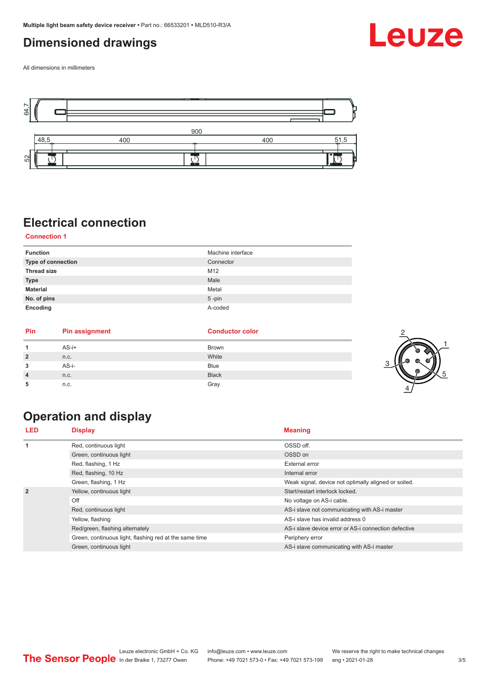## <span id="page-2-0"></span>**Dimensioned drawings**

Leuze

All dimensions in millimeters



## **Electrical connection**

**Connection 1**

| <b>Function</b>    | Machine interface |
|--------------------|-------------------|
| Type of connection | Connector         |
| <b>Thread size</b> | M12               |
| <b>Type</b>        | Male              |
| <b>Material</b>    | Metal             |
| No. of pins        | $5$ -pin          |
| Encoding           | A-coded           |

| Pin            | <b>Pin assignment</b> | <b>Conductor color</b> |   |
|----------------|-----------------------|------------------------|---|
|                | $AS-i+$               | <b>Brown</b>           |   |
| $\overline{2}$ | n.c.                  | White                  |   |
| 3              | AS-i-                 | Blue                   | ◠ |
| $\overline{4}$ | n.c.                  | <b>Black</b>           |   |
| 5              | n.c.                  | Gray                   |   |

# **Operation and display**

| <b>LED</b>     | <b>Display</b>                                         | <b>Meaning</b>                                       |
|----------------|--------------------------------------------------------|------------------------------------------------------|
|                | Red, continuous light                                  | OSSD off.                                            |
|                | Green, continuous light                                | OSSD on                                              |
|                | Red, flashing, 1 Hz                                    | External error                                       |
|                | Red, flashing, 10 Hz                                   | Internal error                                       |
|                | Green, flashing, 1 Hz                                  | Weak signal, device not optimally aligned or soiled. |
| $\overline{2}$ | Yellow, continuous light                               | Start/restart interlock locked.                      |
|                | Off                                                    | No voltage on AS-i cable.                            |
|                | Red, continuous light                                  | AS-i slave not communicating with AS-i master        |
|                | Yellow, flashing                                       | AS-i slave has invalid address 0                     |
|                | Red/green, flashing alternately                        | AS-i slave device error or AS-i connection defective |
|                | Green, continuous light, flashing red at the same time | Periphery error                                      |
|                | Green, continuous light                                | AS-i slave communicating with AS-i master            |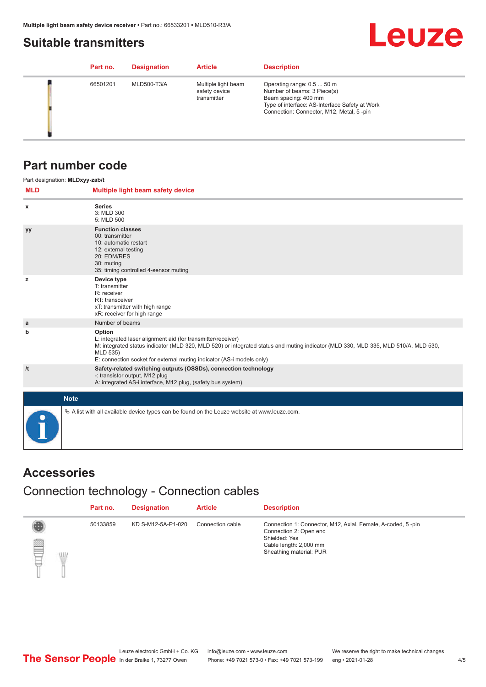### <span id="page-3-0"></span>**Suitable transmitters**

# **Leuze**

| Part no. | <b>Designation</b> | <b>Article</b>                                      | <b>Description</b>                                                                                                                                                              |
|----------|--------------------|-----------------------------------------------------|---------------------------------------------------------------------------------------------------------------------------------------------------------------------------------|
| 66501201 | MLD500-T3/A        | Multiple light beam<br>safety device<br>transmitter | Operating range: 0.5  50 m<br>Number of beams: 3 Piece(s)<br>Beam spacing: 400 mm<br>Type of interface: AS-Interface Safety at Work<br>Connection: Connector, M12, Metal, 5-pin |

### **Part number code**

|            | Part designation: MLDxyy-zab/t                                                                                                                                                                                                                                                                    |
|------------|---------------------------------------------------------------------------------------------------------------------------------------------------------------------------------------------------------------------------------------------------------------------------------------------------|
| <b>MLD</b> | Multiple light beam safety device                                                                                                                                                                                                                                                                 |
| x          | <b>Series</b><br>3: MLD 300<br>5: MLD 500                                                                                                                                                                                                                                                         |
| yy         | <b>Function classes</b><br>00: transmitter<br>10: automatic restart<br>12: external testing<br>20: EDM/RES<br>30: muting<br>35: timing controlled 4-sensor muting                                                                                                                                 |
| z          | Device type<br>T: transmitter<br>R: receiver<br>RT: transceiver<br>xT: transmitter with high range<br>xR: receiver for high range                                                                                                                                                                 |
| a          | Number of beams                                                                                                                                                                                                                                                                                   |
| b          | Option<br>L: integrated laser alignment aid (for transmitter/receiver)<br>M: integrated status indicator (MLD 320, MLD 520) or integrated status and muting indicator (MLD 330, MLD 335, MLD 510/A, MLD 530,<br>MLD 535)<br>E: connection socket for external muting indicator (AS-i models only) |
| /t         | Safety-related switching outputs (OSSDs), connection technology<br>-: transistor output, M12 plug<br>A: integrated AS-i interface, M12 plug, (safety bus system)                                                                                                                                  |
|            | <b>Note</b>                                                                                                                                                                                                                                                                                       |
|            | $\&$ A list with all available device types can be found on the Leuze website at www.leuze.com.                                                                                                                                                                                                   |

## **Accessories**

# Connection technology - Connection cables

|         | Part no. | <b>Designation</b> | <b>Article</b>   | <b>Description</b>                                                                                                                                          |
|---------|----------|--------------------|------------------|-------------------------------------------------------------------------------------------------------------------------------------------------------------|
| ▤<br>WL | 50133859 | KD S-M12-5A-P1-020 | Connection cable | Connection 1: Connector, M12, Axial, Female, A-coded, 5-pin<br>Connection 2: Open end<br>Shielded: Yes<br>Cable length: 2,000 mm<br>Sheathing material: PUR |